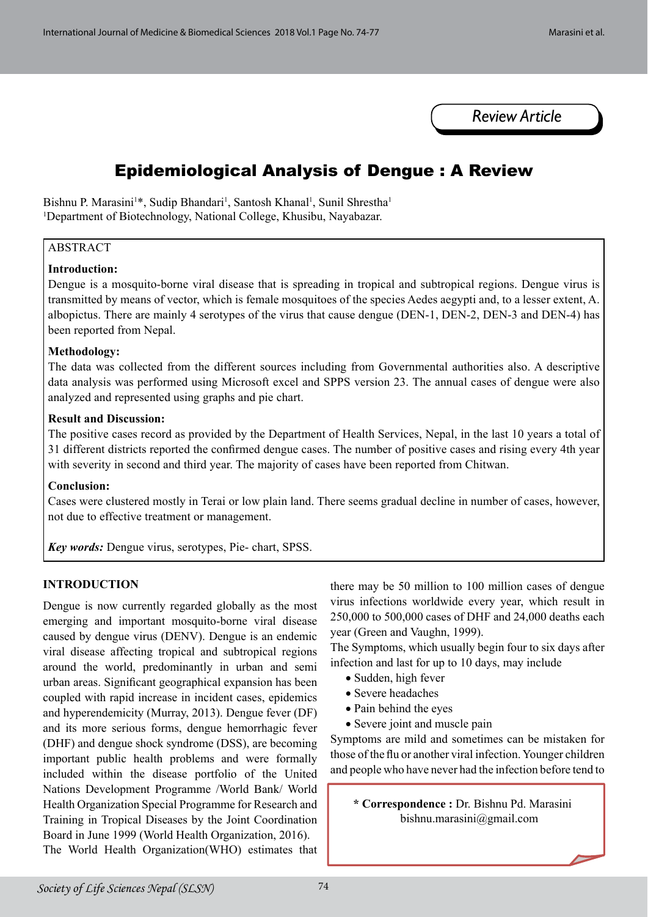

# Epidemiological Analysis of Dengue : A Review

Bishnu P. Marasini<sup>1\*</sup>, Sudip Bhandari<sup>1</sup>, Santosh Khanal<sup>1</sup>, Sunil Shrestha<sup>1</sup> 1 Department of Biotechnology, National College, Khusibu, Nayabazar.

## ABSTRACT

#### **Introduction:**

Dengue is a mosquito-borne viral disease that is spreading in tropical and subtropical regions. Dengue virus is transmitted by means of vector, which is female mosquitoes of the species Aedes aegypti and, to a lesser extent, A. albopictus. There are mainly 4 serotypes of the virus that cause dengue (DEN-1, DEN-2, DEN-3 and DEN-4) has been reported from Nepal.

#### **Methodology:**

The data was collected from the different sources including from Governmental authorities also. A descriptive data analysis was performed using Microsoft excel and SPPS version 23. The annual cases of dengue were also analyzed and represented using graphs and pie chart.

#### **Result and Discussion:**

The positive cases record as provided by the Department of Health Services, Nepal, in the last 10 years a total of 31 different districts reported the confirmed dengue cases. The number of positive cases and rising every 4th year with severity in second and third year. The majority of cases have been reported from Chitwan.

#### **Conclusion:**

Cases were clustered mostly in Terai or low plain land. There seems gradual decline in number of cases, however, not due to effective treatment or management.

*Key words:* Dengue virus, serotypes, Pie- chart, SPSS.

## **INTRODUCTION**

Dengue is now currently regarded globally as the most emerging and important mosquito-borne viral disease caused by dengue virus (DENV). Dengue is an endemic viral disease affecting tropical and subtropical regions around the world, predominantly in urban and semi urban areas. Significant geographical expansion has been coupled with rapid increase in incident cases, epidemics and hyperendemicity (Murray, 2013). Dengue fever (DF) and its more serious forms, dengue hemorrhagic fever (DHF) and dengue shock syndrome (DSS), are becoming important public health problems and were formally included within the disease portfolio of the United Nations Development Programme /World Bank/ World Health Organization Special Programme for Research and Training in Tropical Diseases by the Joint Coordination Board in June 1999 (World Health Organization, 2016). The World Health Organization(WHO) estimates that there may be 50 million to 100 million cases of dengue virus infections worldwide every year, which result in 250,000 to 500,000 cases of DHF and 24,000 deaths each year (Green and Vaughn, 1999).

The Symptoms, which usually begin four to six days after infection and last for up to 10 days, may include

- Sudden, high fever
- Severe headaches
- Pain behind the eyes
- Severe joint and muscle pain

Symptoms are mild and sometimes can be mistaken for those of the flu or another viral infection. Younger children and people who have never had the infection before tend to

**\* Correspondence :** Dr. Bishnu Pd. Marasini bishnu.marasini@gmail.com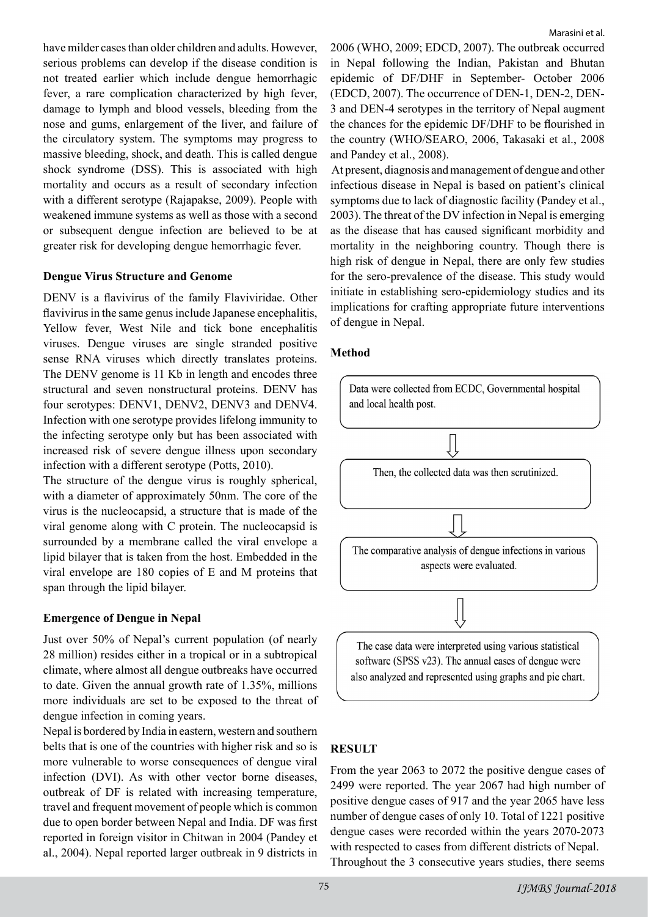have milder cases than older children and adults. However, serious problems can develop if the disease condition is not treated earlier which include dengue hemorrhagic fever, a rare complication characterized by high fever, damage to lymph and blood vessels, bleeding from the nose and gums, enlargement of the liver, and failure of the circulatory system. The symptoms may progress to massive bleeding, shock, and death. This is called dengue shock syndrome (DSS). This is associated with high mortality and occurs as a result of secondary infection with a different serotype (Rajapakse, 2009). People with weakened immune systems as well as those with a second or subsequent dengue infection are believed to be at greater risk for developing dengue hemorrhagic fever.

#### **Dengue Virus Structure and Genome**

DENV is a flavivirus of the family Flaviviridae. Other flavivirus in the same genus include Japanese encephalitis, Yellow fever, West Nile and tick bone encephalitis viruses. Dengue viruses are single stranded positive sense RNA viruses which directly translates proteins. The DENV genome is 11 Kb in length and encodes three structural and seven nonstructural proteins. DENV has four serotypes: DENV1, DENV2, DENV3 and DENV4. Infection with one serotype provides lifelong immunity to the infecting serotype only but has been associated with increased risk of severe dengue illness upon secondary infection with a different serotype (Potts, 2010).

The structure of the dengue virus is roughly spherical, with a diameter of approximately 50nm. The core of the virus is the nucleocapsid, a structure that is made of the viral genome along with C protein. The nucleocapsid is surrounded by a membrane called the viral envelope a lipid bilayer that is taken from the host. Embedded in the viral envelope are 180 copies of E and M proteins that span through the lipid bilayer.

## **Emergence of Dengue in Nepal**

Just over 50% of Nepal's current population (of nearly 28 million) resides either in a tropical or in a subtropical climate, where almost all dengue outbreaks have occurred to date. Given the annual growth rate of 1.35%, millions more individuals are set to be exposed to the threat of dengue infection in coming years.

Nepal is bordered by India in eastern, western and southern belts that is one of the countries with higher risk and so is more vulnerable to worse consequences of dengue viral infection (DVI). As with other vector borne diseases, outbreak of DF is related with increasing temperature, travel and frequent movement of people which is common due to open border between Nepal and India. DF was first reported in foreign visitor in Chitwan in 2004 (Pandey et al., 2004). Nepal reported larger outbreak in 9 districts in 2006 (WHO, 2009; EDCD, 2007). The outbreak occurred in Nepal following the Indian, Pakistan and Bhutan epidemic of DF/DHF in September- October 2006 (EDCD, 2007). The occurrence of DEN-1, DEN-2, DEN-3 and DEN-4 serotypes in the territory of Nepal augment the chances for the epidemic DF/DHF to be flourished in the country (WHO/SEARO, 2006, Takasaki et al., 2008 and Pandey et al., 2008).

 At present, diagnosis and management of dengue and other infectious disease in Nepal is based on patient's clinical symptoms due to lack of diagnostic facility (Pandey et al., 2003). The threat of the DV infection in Nepal is emerging as the disease that has caused significant morbidity and mortality in the neighboring country. Though there is high risk of dengue in Nepal, there are only few studies for the sero-prevalence of the disease. This study would initiate in establishing sero-epidemiology studies and its implications for crafting appropriate future interventions of dengue in Nepal.

# **Method**



# **RESULT**

From the year 2063 to 2072 the positive dengue cases of 2499 were reported. The year 2067 had high number of positive dengue cases of 917 and the year 2065 have less number of dengue cases of only 10. Total of 1221 positive dengue cases were recorded within the years 2070-2073 with respected to cases from different districts of Nepal. Throughout the 3 consecutive years studies, there seems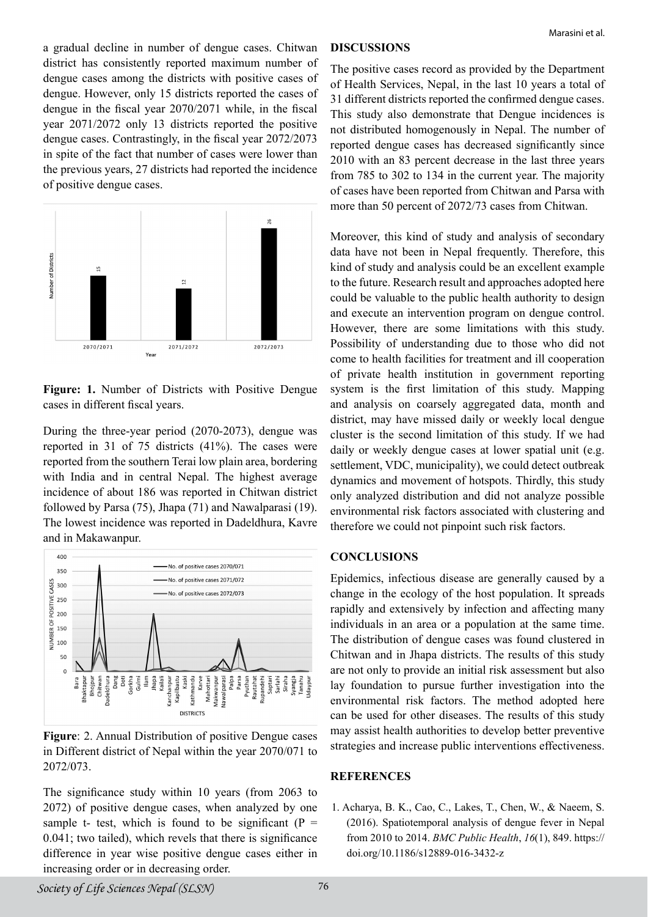a gradual decline in number of dengue cases. Chitwan district has consistently reported maximum number of dengue cases among the districts with positive cases of dengue. However, only 15 districts reported the cases of dengue in the fiscal year 2070/2071 while, in the fiscal year 2071/2072 only 13 districts reported the positive dengue cases. Contrastingly, in the fiscal year 2072/2073 in spite of the fact that number of cases were lower than the previous years, 27 districts had reported the incidence of positive dengue cases.



**Figure: 1.** Number of Districts with Positive Dengue cases in different fiscal years.

During the three-year period (2070-2073), dengue was reported in 31 of 75 districts (41%). The cases were reported from the southern Terai low plain area, bordering with India and in central Nepal. The highest average incidence of about 186 was reported in Chitwan district followed by Parsa (75), Jhapa (71) and Nawalparasi (19). The lowest incidence was reported in Dadeldhura, Kavre and in Makawanpur.



**Figure**: 2. Annual Distribution of positive Dengue cases in Different district of Nepal within the year 2070/071 to 2072/073.

The significance study within 10 years (from 2063 to 2072) of positive dengue cases, when analyzed by one sample t- test, which is found to be significant ( $P =$ 0.041; two tailed), which revels that there is significance difference in year wise positive dengue cases either in increasing order or in decreasing order.

# **DISCUSSIONS**

The positive cases record as provided by the Department of Health Services, Nepal, in the last 10 years a total of 31 different districts reported the confirmed dengue cases. This study also demonstrate that Dengue incidences is not distributed homogenously in Nepal. The number of reported dengue cases has decreased significantly since 2010 with an 83 percent decrease in the last three years from 785 to 302 to 134 in the current year. The majority of cases have been reported from Chitwan and Parsa with more than 50 percent of 2072/73 cases from Chitwan.

Moreover, this kind of study and analysis of secondary data have not been in Nepal frequently. Therefore, this kind of study and analysis could be an excellent example to the future. Research result and approaches adopted here could be valuable to the public health authority to design and execute an intervention program on dengue control. However, there are some limitations with this study. Possibility of understanding due to those who did not come to health facilities for treatment and ill cooperation of private health institution in government reporting system is the first limitation of this study. Mapping and analysis on coarsely aggregated data, month and district, may have missed daily or weekly local dengue cluster is the second limitation of this study. If we had daily or weekly dengue cases at lower spatial unit (e.g. settlement, VDC, municipality), we could detect outbreak dynamics and movement of hotspots. Thirdly, this study only analyzed distribution and did not analyze possible environmental risk factors associated with clustering and therefore we could not pinpoint such risk factors.

## **CONCLUSIONS**

Epidemics, infectious disease are generally caused by a change in the ecology of the host population. It spreads rapidly and extensively by infection and affecting many individuals in an area or a population at the same time. The distribution of dengue cases was found clustered in Chitwan and in Jhapa districts. The results of this study are not only to provide an initial risk assessment but also lay foundation to pursue further investigation into the environmental risk factors. The method adopted here can be used for other diseases. The results of this study may assist health authorities to develop better preventive strategies and increase public interventions effectiveness.

# **REFERENCES**

1. Acharya, B. K., Cao, C., Lakes, T., Chen, W., & Naeem, S. (2016). Spatiotemporal analysis of dengue fever in Nepal from 2010 to 2014. *BMC Public Health*, *16*(1), 849. https:// doi.org/10.1186/s12889-016-3432-z